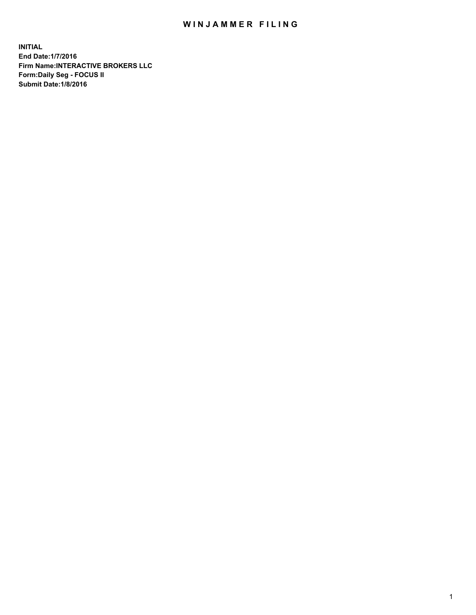## WIN JAMMER FILING

**INITIAL End Date:1/7/2016 Firm Name:INTERACTIVE BROKERS LLC Form:Daily Seg - FOCUS II Submit Date:1/8/2016**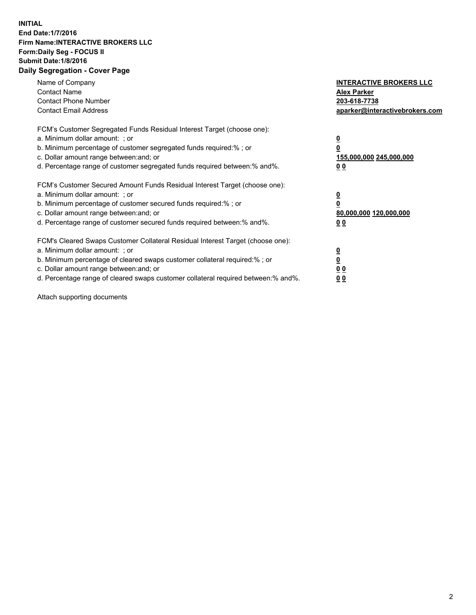## **INITIAL End Date:1/7/2016 Firm Name:INTERACTIVE BROKERS LLC Form:Daily Seg - FOCUS II Submit Date:1/8/2016 Daily Segregation - Cover Page**

| Name of Company<br><b>Contact Name</b><br><b>Contact Phone Number</b><br><b>Contact Email Address</b>                                                                                                                                                                                                                          | <b>INTERACTIVE BROKERS LLC</b><br><b>Alex Parker</b><br>203-618-7738<br>aparker@interactivebrokers.com |
|--------------------------------------------------------------------------------------------------------------------------------------------------------------------------------------------------------------------------------------------------------------------------------------------------------------------------------|--------------------------------------------------------------------------------------------------------|
| FCM's Customer Segregated Funds Residual Interest Target (choose one):<br>a. Minimum dollar amount: ; or<br>b. Minimum percentage of customer segregated funds required:%; or<br>c. Dollar amount range between: and; or<br>d. Percentage range of customer segregated funds required between:% and%.                          | <u>0</u><br>155,000,000 245,000,000<br><u>00</u>                                                       |
| FCM's Customer Secured Amount Funds Residual Interest Target (choose one):<br>a. Minimum dollar amount: ; or<br>b. Minimum percentage of customer secured funds required:%; or<br>c. Dollar amount range between: and; or<br>d. Percentage range of customer secured funds required between:% and%.                            | <u>0</u><br>80,000,000 120,000,000<br>0 <sub>0</sub>                                                   |
| FCM's Cleared Swaps Customer Collateral Residual Interest Target (choose one):<br>a. Minimum dollar amount: ; or<br>b. Minimum percentage of cleared swaps customer collateral required:% ; or<br>c. Dollar amount range between: and; or<br>d. Percentage range of cleared swaps customer collateral required between:% and%. | ₫<br>0 <sub>0</sub><br>0 <sub>0</sub>                                                                  |

Attach supporting documents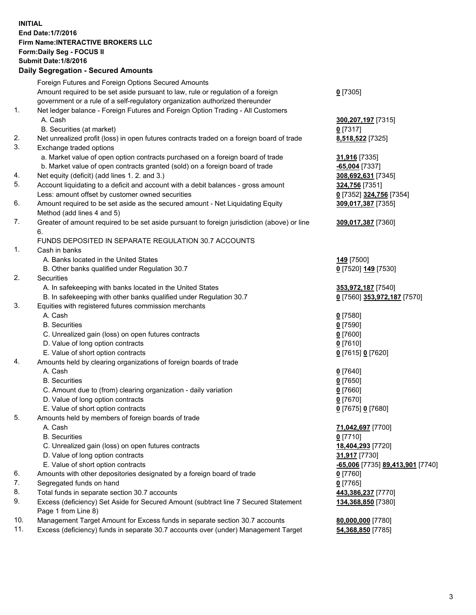## **INITIAL End Date:1/7/2016 Firm Name:INTERACTIVE BROKERS LLC Form:Daily Seg - FOCUS II Submit Date:1/8/2016 Daily Segregation - Secured Amounts**

|     | Foreign Futures and Foreign Options Secured Amounts                                         |                                  |
|-----|---------------------------------------------------------------------------------------------|----------------------------------|
|     | Amount required to be set aside pursuant to law, rule or regulation of a foreign            | $0$ [7305]                       |
|     | government or a rule of a self-regulatory organization authorized thereunder                |                                  |
| 1.  | Net ledger balance - Foreign Futures and Foreign Option Trading - All Customers             |                                  |
|     | A. Cash                                                                                     | 300, 207, 197 [7315]             |
|     | B. Securities (at market)                                                                   | $0$ [7317]                       |
| 2.  | Net unrealized profit (loss) in open futures contracts traded on a foreign board of trade   | 8,518,522 [7325]                 |
| 3.  | Exchange traded options                                                                     |                                  |
|     | a. Market value of open option contracts purchased on a foreign board of trade              | 31,916 [7335]                    |
|     | b. Market value of open contracts granted (sold) on a foreign board of trade                | <b>65,004</b> [7337]             |
| 4.  | Net equity (deficit) (add lines 1.2. and 3.)                                                | 308,692,631 [7345]               |
| 5.  | Account liquidating to a deficit and account with a debit balances - gross amount           | 324,756 [7351]                   |
|     | Less: amount offset by customer owned securities                                            | 0 [7352] 324,756 [7354]          |
| 6.  | Amount required to be set aside as the secured amount - Net Liquidating Equity              | 309,017,387 [7355]               |
|     | Method (add lines 4 and 5)                                                                  |                                  |
| 7.  |                                                                                             |                                  |
|     | Greater of amount required to be set aside pursuant to foreign jurisdiction (above) or line | 309,017,387 [7360]               |
|     | 6.                                                                                          |                                  |
|     | FUNDS DEPOSITED IN SEPARATE REGULATION 30.7 ACCOUNTS                                        |                                  |
| 1.  | Cash in banks                                                                               |                                  |
|     | A. Banks located in the United States                                                       | 149 <sub>[7500]</sub>            |
|     | B. Other banks qualified under Regulation 30.7                                              | 0 [7520] 149 [7530]              |
| 2.  | Securities                                                                                  |                                  |
|     | A. In safekeeping with banks located in the United States                                   | 353,972,187 [7540]               |
|     | B. In safekeeping with other banks qualified under Regulation 30.7                          | 0 [7560] 353,972,187 [7570]      |
| 3.  | Equities with registered futures commission merchants                                       |                                  |
|     | A. Cash                                                                                     | $0$ [7580]                       |
|     | <b>B.</b> Securities                                                                        | $0$ [7590]                       |
|     | C. Unrealized gain (loss) on open futures contracts                                         | $0$ [7600]                       |
|     | D. Value of long option contracts                                                           | $0$ [7610]                       |
|     | E. Value of short option contracts                                                          | 0 [7615] 0 [7620]                |
| 4.  | Amounts held by clearing organizations of foreign boards of trade                           |                                  |
|     | A. Cash                                                                                     | $0$ [7640]                       |
|     | <b>B.</b> Securities                                                                        | $0$ [7650]                       |
|     | C. Amount due to (from) clearing organization - daily variation                             | $0$ [7660]                       |
|     | D. Value of long option contracts                                                           | $0$ [7670]                       |
|     | E. Value of short option contracts                                                          | 0 [7675] 0 [7680]                |
| 5.  | Amounts held by members of foreign boards of trade                                          |                                  |
|     | A. Cash                                                                                     | 71,042,697 [7700]                |
|     | <b>B.</b> Securities                                                                        | $0$ [7710]                       |
|     | C. Unrealized gain (loss) on open futures contracts                                         | 18,404,293 [7720]                |
|     | D. Value of long option contracts                                                           | 31,917 [7730]                    |
|     | E. Value of short option contracts                                                          | -65,006 [7735] 89,413,901 [7740] |
| 6.  | Amounts with other depositories designated by a foreign board of trade                      | $0$ [7760]                       |
| 7.  | Segregated funds on hand                                                                    | $0$ [7765]                       |
| 8.  | Total funds in separate section 30.7 accounts                                               | 443,386,237 [7770]               |
| 9.  | Excess (deficiency) Set Aside for Secured Amount (subtract line 7 Secured Statement         | 134,368,850 [7380]               |
|     | Page 1 from Line 8)                                                                         |                                  |
| 10. | Management Target Amount for Excess funds in separate section 30.7 accounts                 | 80,000,000 [7780]                |
| 11. | Excess (deficiency) funds in separate 30.7 accounts over (under) Management Target          | 54,368,850 [7785]                |
|     |                                                                                             |                                  |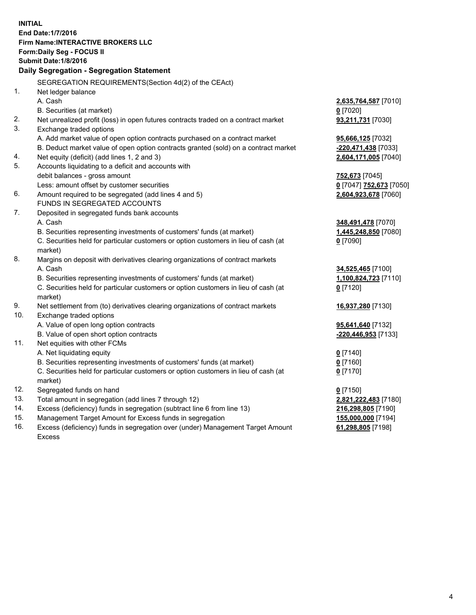**INITIAL End Date:1/7/2016 Firm Name:INTERACTIVE BROKERS LLC Form:Daily Seg - FOCUS II Submit Date:1/8/2016 Daily Segregation - Segregation Statement** SEGREGATION REQUIREMENTS(Section 4d(2) of the CEAct) 1. Net ledger balance A. Cash **2,635,764,587** [7010] B. Securities (at market) **0** [7020] 2. Net unrealized profit (loss) in open futures contracts traded on a contract market **93,211,731** [7030] 3. Exchange traded options A. Add market value of open option contracts purchased on a contract market **95,666,125** [7032] B. Deduct market value of open option contracts granted (sold) on a contract market **-220,471,438** [7033] 4. Net equity (deficit) (add lines 1, 2 and 3) **2,604,171,005** [7040] 5. Accounts liquidating to a deficit and accounts with debit balances - gross amount **752,673** [7045] Less: amount offset by customer securities **0** [7047] **752,673** [7050] 6. Amount required to be segregated (add lines 4 and 5) **2,604,923,678** [7060] FUNDS IN SEGREGATED ACCOUNTS 7. Deposited in segregated funds bank accounts A. Cash **348,491,478** [7070] B. Securities representing investments of customers' funds (at market) **1,445,248,850** [7080] C. Securities held for particular customers or option customers in lieu of cash (at market) **0** [7090] 8. Margins on deposit with derivatives clearing organizations of contract markets A. Cash **34,525,465** [7100] B. Securities representing investments of customers' funds (at market) **1,100,824,723** [7110] C. Securities held for particular customers or option customers in lieu of cash (at market) **0** [7120] 9. Net settlement from (to) derivatives clearing organizations of contract markets **16,937,280** [7130] 10. Exchange traded options A. Value of open long option contracts **95,641,640** [7132] B. Value of open short option contracts **-220,446,953** [7133] 11. Net equities with other FCMs A. Net liquidating equity **0** [7140] B. Securities representing investments of customers' funds (at market) **0** [7160] C. Securities held for particular customers or option customers in lieu of cash (at market) **0** [7170] 12. Segregated funds on hand **0** [7150] 13. Total amount in segregation (add lines 7 through 12) **2,821,222,483** [7180] 14. Excess (deficiency) funds in segregation (subtract line 6 from line 13) **216,298,805** [7190] 15. Management Target Amount for Excess funds in segregation **155,000,000** [7194] **61,298,805** [7198]

16. Excess (deficiency) funds in segregation over (under) Management Target Amount Excess